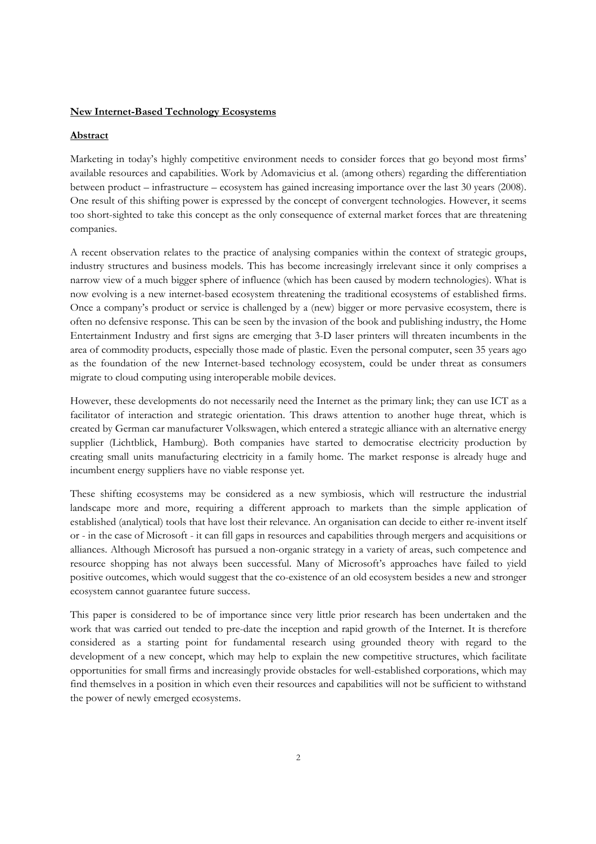## **New Internet-Based Technology Ecosystems**

### **Abstract**

Marketing in today's highly competitive environment needs to consider forces that go beyond most firms' available resources and capabilities. Work by Adomavicius et al. (among others) regarding the differentiation between product – infrastructure – ecosystem has gained increasing importance over the last 30 years (2008). One result of this shifting power is expressed by the concept of convergent technologies. However, it seems too short-sighted to take this concept as the only consequence of external market forces that are threatening companies.

A recent observation relates to the practice of analysing companies within the context of strategic groups, industry structures and business models. This has become increasingly irrelevant since it only comprises a narrow view of a much bigger sphere of influence (which has been caused by modern technologies). What is now evolving is a new internet-based ecosystem threatening the traditional ecosystems of established firms. Once a company's product or service is challenged by a (new) bigger or more pervasive ecosystem, there is often no defensive response. This can be seen by the invasion of the book and publishing industry, the Home Entertainment Industry and first signs are emerging that 3-D laser printers will threaten incumbents in the area of commodity products, especially those made of plastic. Even the personal computer, seen 35 years ago as the foundation of the new Internet-based technology ecosystem, could be under threat as consumers migrate to cloud computing using interoperable mobile devices.

However, these developments do not necessarily need the Internet as the primary link; they can use ICT as a facilitator of interaction and strategic orientation. This draws attention to another huge threat, which is created by German car manufacturer Volkswagen, which entered a strategic alliance with an alternative energy supplier (Lichtblick, Hamburg). Both companies have started to democratise electricity production by creating small units manufacturing electricity in a family home. The market response is already huge and incumbent energy suppliers have no viable response yet.

These shifting ecosystems may be considered as a new symbiosis, which will restructure the industrial landscape more and more, requiring a different approach to markets than the simple application of established (analytical) tools that have lost their relevance. An organisation can decide to either re-invent itself or - in the case of Microsoft - it can fill gaps in resources and capabilities through mergers and acquisitions or alliances. Although Microsoft has pursued a non-organic strategy in a variety of areas, such competence and resource shopping has not always been successful. Many of Microsoft's approaches have failed to yield positive outcomes, which would suggest that the co-existence of an old ecosystem besides a new and stronger ecosystem cannot guarantee future success.

This paper is considered to be of importance since very little prior research has been undertaken and the work that was carried out tended to pre-date the inception and rapid growth of the Internet. It is therefore considered as a starting point for fundamental research using grounded theory with regard to the development of a new concept, which may help to explain the new competitive structures, which facilitate opportunities for small firms and increasingly provide obstacles for well-established corporations, which may find themselves in a position in which even their resources and capabilities will not be sufficient to withstand the power of newly emerged ecosystems.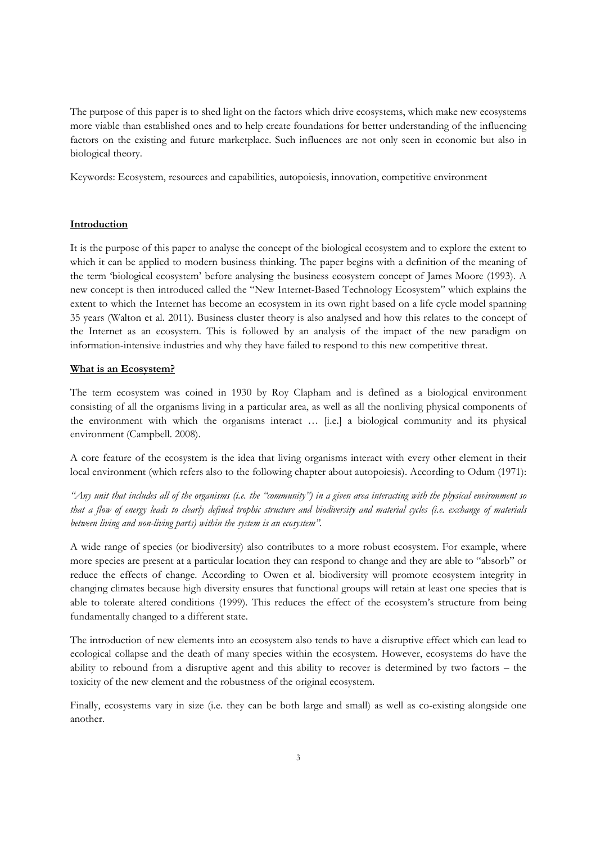The purpose of this paper is to shed light on the factors which drive ecosystems, which make new ecosystems more viable than established ones and to help create foundations for better understanding of the influencing factors on the existing and future marketplace. Such influences are not only seen in economic but also in biological theory.

Keywords: Ecosystem, resources and capabilities, autopoiesis, innovation, competitive environment

# **Introduction**

It is the purpose of this paper to analyse the concept of the biological ecosystem and to explore the extent to which it can be applied to modern business thinking. The paper begins with a definition of the meaning of the term 'biological ecosystem' before analysing the business ecosystem concept of James Moore (1993). A new concept is then introduced called the "New Internet-Based Technology Ecosystem" which explains the extent to which the Internet has become an ecosystem in its own right based on a life cycle model spanning 35 years (Walton et al. 2011). Business cluster theory is also analysed and how this relates to the concept of the Internet as an ecosystem. This is followed by an analysis of the impact of the new paradigm on information-intensive industries and why they have failed to respond to this new competitive threat.

# **What is an Ecosystem?**

The term ecosystem was coined in 1930 by Roy Clapham and is defined as a biological environment consisting of all the organisms living in a particular area, as well as all the nonliving physical components of the environment with which the organisms interact … [i.e.] a biological community and its physical environment (Campbell. 2008).

A core feature of the ecosystem is the idea that living organisms interact with every other element in their local environment (which refers also to the following chapter about autopoiesis). According to Odum (1971):

*"Any unit that includes all of the organisms (i.e. the "community") in a given area interacting with the physical environment so that a flow of energy leads to clearly defined trophic structure and biodiversity and material cycles (i.e. exchange of materials between living and non-living parts) within the system is an ecosystem".* 

A wide range of species (or biodiversity) also contributes to a more robust ecosystem. For example, where more species are present at a particular location they can respond to change and they are able to "absorb" or reduce the effects of change. According to Owen et al. biodiversity will promote ecosystem integrity in changing climates because high diversity ensures that functional groups will retain at least one species that is able to tolerate altered conditions (1999). This reduces the effect of the ecosystem's structure from being fundamentally changed to a different state.

The introduction of new elements into an ecosystem also tends to have a disruptive effect which can lead to ecological collapse and the death of many species within the ecosystem. However, ecosystems do have the ability to rebound from a disruptive agent and this ability to recover is determined by two factors – the toxicity of the new element and the robustness of the original ecosystem.

Finally, ecosystems vary in size (i.e. they can be both large and small) as well as co-existing alongside one another.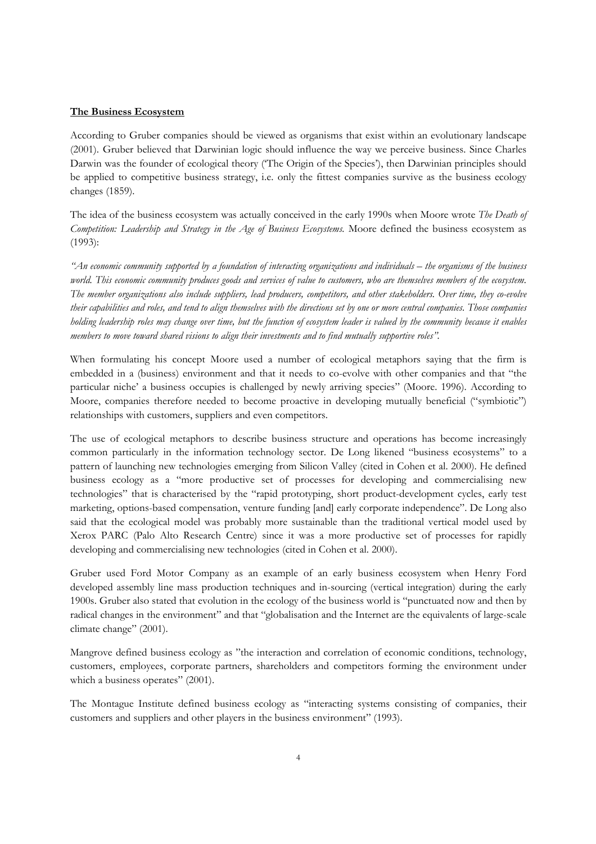### **The Business Ecosystem**

According to Gruber companies should be viewed as organisms that exist within an evolutionary landscape (2001). Gruber believed that Darwinian logic should influence the way we perceive business. Since Charles Darwin was the founder of ecological theory ('The Origin of the Species'), then Darwinian principles should be applied to competitive business strategy, i.e. only the fittest companies survive as the business ecology changes (1859).

The idea of the business ecosystem was actually conceived in the early 1990s when Moore wrote *The Death of Competition: Leadership and Strategy in the Age of Business Ecosystems.* Moore defined the business ecosystem as (1993):

*"An economic community supported by a foundation of interacting organizations and individuals – the organisms of the business world. This economic community produces goods and services of value to customers, who are themselves members of the ecosystem. The member organizations also include suppliers, lead producers, competitors, and other stakeholders. Over time, they co-evolve their capabilities and roles, and tend to align themselves with the directions set by one or more central companies. Those companies holding leadership roles may change over time, but the function of ecosystem leader is valued by the community because it enables members to move toward shared visions to align their investments and to find mutually supportive roles".* 

When formulating his concept Moore used a number of ecological metaphors saying that the firm is embedded in a (business) environment and that it needs to co-evolve with other companies and that "the particular niche' a business occupies is challenged by newly arriving species" (Moore. 1996). According to Moore, companies therefore needed to become proactive in developing mutually beneficial ("symbiotic") relationships with customers, suppliers and even competitors.

The use of ecological metaphors to describe business structure and operations has become increasingly common particularly in the information technology sector. De Long likened "business ecosystems" to a pattern of launching new technologies emerging from Silicon Valley (cited in Cohen et al. 2000). He defined business ecology as a "more productive set of processes for developing and commercialising new technologies" that is characterised by the "rapid prototyping, short product-development cycles, early test marketing, options-based compensation, venture funding [and] early corporate independence". De Long also said that the ecological model was probably more sustainable than the traditional vertical model used by Xerox PARC (Palo Alto Research Centre) since it was a more productive set of processes for rapidly developing and commercialising new technologies (cited in Cohen et al. 2000).

Gruber used Ford Motor Company as an example of an early business ecosystem when Henry Ford developed assembly line mass production techniques and in-sourcing (vertical integration) during the early 1900s. Gruber also stated that evolution in the ecology of the business world is "punctuated now and then by radical changes in the environment" and that "globalisation and the Internet are the equivalents of large-scale climate change" (2001).

Mangrove defined business ecology as "the interaction and correlation of economic conditions, technology, customers, employees, corporate partners, shareholders and competitors forming the environment under which a business operates" (2001).

The Montague Institute defined business ecology as "interacting systems consisting of companies, their customers and suppliers and other players in the business environment" (1993).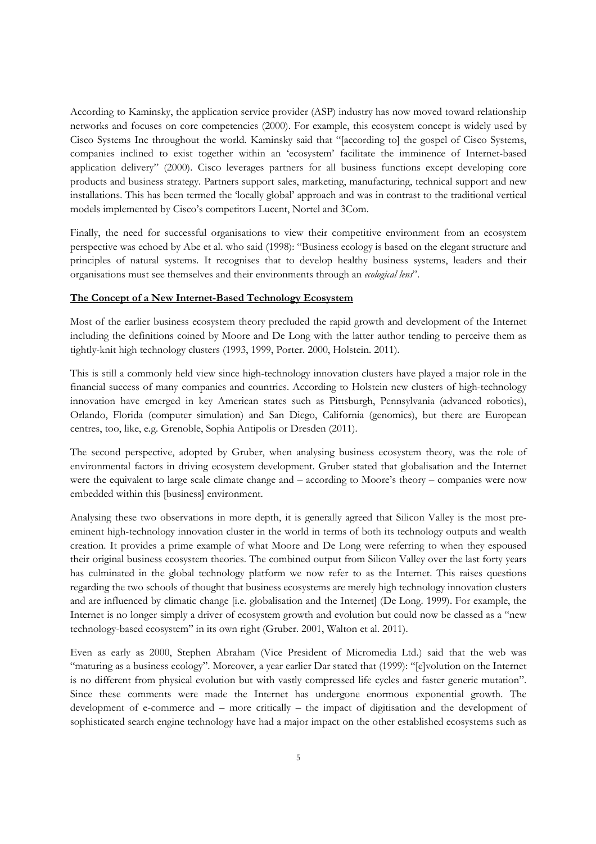According to Kaminsky, the application service provider (ASP) industry has now moved toward relationship networks and focuses on core competencies (2000). For example, this ecosystem concept is widely used by Cisco Systems Inc throughout the world. Kaminsky said that "[according to] the gospel of Cisco Systems, companies inclined to exist together within an 'ecosystem' facilitate the imminence of Internet-based application delivery" (2000). Cisco leverages partners for all business functions except developing core products and business strategy. Partners support sales, marketing, manufacturing, technical support and new installations. This has been termed the 'locally global' approach and was in contrast to the traditional vertical models implemented by Cisco's competitors Lucent, Nortel and 3Com.

Finally, the need for successful organisations to view their competitive environment from an ecosystem perspective was echoed by Abe et al. who said (1998): "Business ecology is based on the elegant structure and principles of natural systems. It recognises that to develop healthy business systems, leaders and their organisations must see themselves and their environments through an *ecological lens*".

## **The Concept of a New Internet-Based Technology Ecosystem**

Most of the earlier business ecosystem theory precluded the rapid growth and development of the Internet including the definitions coined by Moore and De Long with the latter author tending to perceive them as tightly-knit high technology clusters (1993, 1999, Porter. 2000, Holstein. 2011).

This is still a commonly held view since high-technology innovation clusters have played a major role in the financial success of many companies and countries. According to Holstein new clusters of high-technology innovation have emerged in key American states such as Pittsburgh, Pennsylvania (advanced robotics), Orlando, Florida (computer simulation) and San Diego, California (genomics), but there are European centres, too, like, e.g. Grenoble, Sophia Antipolis or Dresden (2011).

The second perspective, adopted by Gruber, when analysing business ecosystem theory, was the role of environmental factors in driving ecosystem development. Gruber stated that globalisation and the Internet were the equivalent to large scale climate change and – according to Moore's theory – companies were now embedded within this [business] environment.

Analysing these two observations in more depth, it is generally agreed that Silicon Valley is the most preeminent high-technology innovation cluster in the world in terms of both its technology outputs and wealth creation. It provides a prime example of what Moore and De Long were referring to when they espoused their original business ecosystem theories. The combined output from Silicon Valley over the last forty years has culminated in the global technology platform we now refer to as the Internet. This raises questions regarding the two schools of thought that business ecosystems are merely high technology innovation clusters and are influenced by climatic change [i.e. globalisation and the Internet] (De Long. 1999). For example, the Internet is no longer simply a driver of ecosystem growth and evolution but could now be classed as a "new technology-based ecosystem" in its own right (Gruber. 2001, Walton et al. 2011).

Even as early as 2000, Stephen Abraham (Vice President of Micromedia Ltd.) said that the web was "maturing as a business ecology". Moreover, a year earlier Dar stated that (1999): "[e]volution on the Internet is no different from physical evolution but with vastly compressed life cycles and faster generic mutation". Since these comments were made the Internet has undergone enormous exponential growth. The development of e-commerce and – more critically – the impact of digitisation and the development of sophisticated search engine technology have had a major impact on the other established ecosystems such as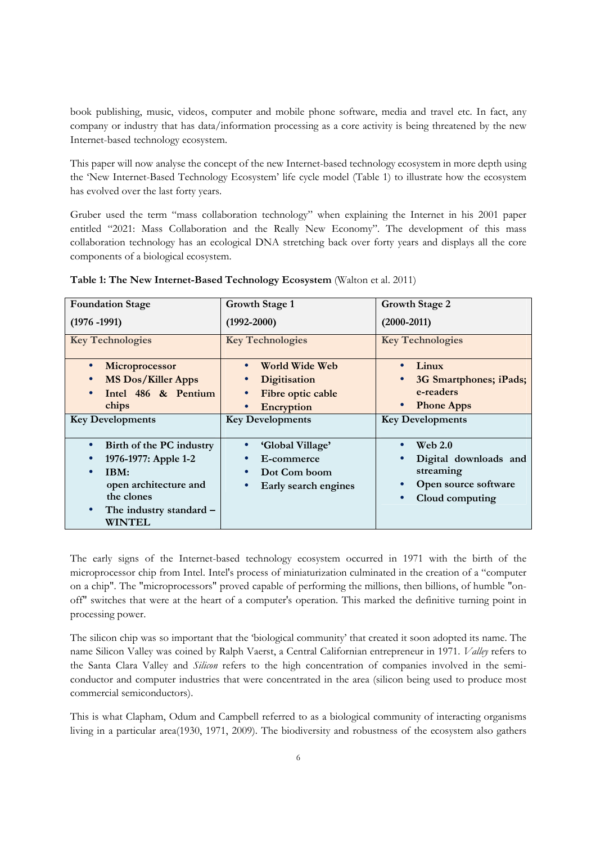book publishing, music, videos, computer and mobile phone software, media and travel etc. In fact, any company or industry that has data/information processing as a core activity is being threatened by the new Internet-based technology ecosystem.

This paper will now analyse the concept of the new Internet-based technology ecosystem in more depth using the 'New Internet-Based Technology Ecosystem' life cycle model (Table 1) to illustrate how the ecosystem has evolved over the last forty years.

Gruber used the term "mass collaboration technology" when explaining the Internet in his 2001 paper entitled "2021: Mass Collaboration and the Really New Economy". The development of this mass collaboration technology has an ecological DNA stretching back over forty years and displays all the core components of a biological ecosystem.

| <b>Foundation Stage</b>   | Growth Stage 1          | <b>Growth Stage 2</b>          |
|---------------------------|-------------------------|--------------------------------|
| $(1976 - 1991)$           | $(1992 - 2000)$         | $(2000 - 2011)$                |
| <b>Key Technologies</b>   | <b>Key Technologies</b> | <b>Key Technologies</b>        |
| Microprocessor            | World Wide Web          | Linux                          |
| <b>MS Dos/Killer Apps</b> | <b>Digitisation</b>     | 3G Smartphones; iPads;         |
| Intel 486 & Pentium       | Fibre optic cable       | e-readers                      |
| chips                     | Encryption              | <b>Phone Apps</b><br>$\bullet$ |
| <b>Key Developments</b>   | <b>Key Developments</b> | <b>Key Developments</b>        |
| Birth of the PC industry  | 'Global Village'        | Web $2.0$                      |
| 1976-1977: Apple 1-2      | E-commerce              | Digital downloads and          |
| IBM:                      | Dot Com boom            | streaming                      |
| open architecture and     | Early search engines    | Open source software           |
| the clones                |                         | Cloud computing                |
| The industry standard -   |                         |                                |
| <b>WINTEL</b>             |                         |                                |

**Table 1: The New Internet-Based Technology Ecosystem** (Walton et al. 2011)

The early signs of the Internet-based technology ecosystem occurred in 1971 with the birth of the microprocessor chip from Intel. Intel's process of miniaturization culminated in the creation of a "computer on a chip". The "microprocessors" proved capable of performing the millions, then billions, of humble "onoff" switches that were at the heart of a computer's operation. This marked the definitive turning point in processing power.

The silicon chip was so important that the 'biological community' that created it soon adopted its name. The name Silicon Valley was coined by Ralph Vaerst, a Central Californian entrepreneur in 1971. *Valley* refers to the Santa Clara Valley and *Silicon* refers to the high concentration of companies involved in the semiconductor and computer industries that were concentrated in the area (silicon being used to produce most commercial semiconductors).

This is what Clapham, Odum and Campbell referred to as a biological community of interacting organisms living in a particular area(1930, 1971, 2009). The biodiversity and robustness of the ecosystem also gathers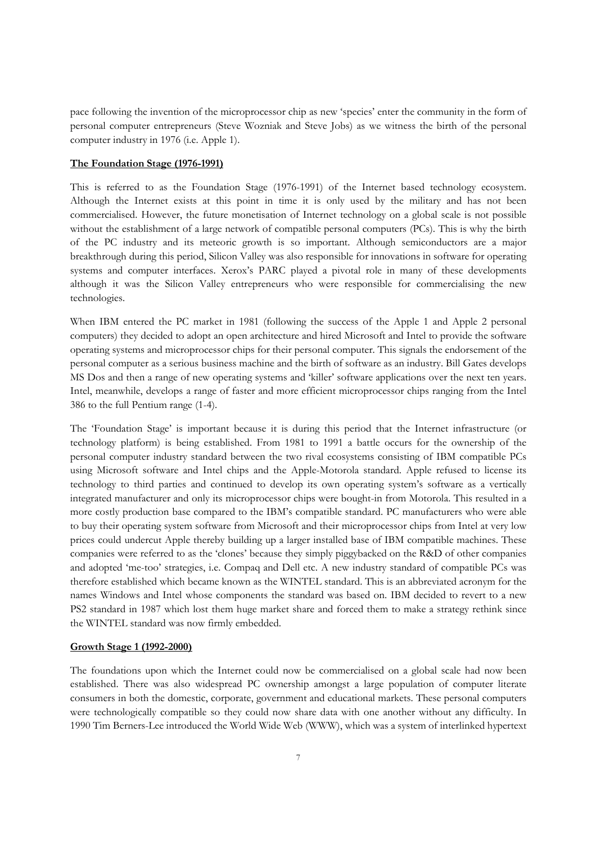pace following the invention of the microprocessor chip as new 'species' enter the community in the form of personal computer entrepreneurs (Steve Wozniak and Steve Jobs) as we witness the birth of the personal computer industry in 1976 (i.e. Apple 1).

#### **The Foundation Stage (1976-1991)**

This is referred to as the Foundation Stage (1976-1991) of the Internet based technology ecosystem. Although the Internet exists at this point in time it is only used by the military and has not been commercialised. However, the future monetisation of Internet technology on a global scale is not possible without the establishment of a large network of compatible personal computers (PCs). This is why the birth of the PC industry and its meteoric growth is so important. Although semiconductors are a major breakthrough during this period, Silicon Valley was also responsible for innovations in software for operating systems and computer interfaces. Xerox's PARC played a pivotal role in many of these developments although it was the Silicon Valley entrepreneurs who were responsible for commercialising the new technologies.

When IBM entered the PC market in 1981 (following the success of the Apple 1 and Apple 2 personal computers) they decided to adopt an open architecture and hired Microsoft and Intel to provide the software operating systems and microprocessor chips for their personal computer. This signals the endorsement of the personal computer as a serious business machine and the birth of software as an industry. Bill Gates develops MS Dos and then a range of new operating systems and 'killer' software applications over the next ten years. Intel, meanwhile, develops a range of faster and more efficient microprocessor chips ranging from the Intel 386 to the full Pentium range (1-4).

The 'Foundation Stage' is important because it is during this period that the Internet infrastructure (or technology platform) is being established. From 1981 to 1991 a battle occurs for the ownership of the personal computer industry standard between the two rival ecosystems consisting of IBM compatible PCs using Microsoft software and Intel chips and the Apple-Motorola standard. Apple refused to license its technology to third parties and continued to develop its own operating system's software as a vertically integrated manufacturer and only its microprocessor chips were bought-in from Motorola. This resulted in a more costly production base compared to the IBM's compatible standard. PC manufacturers who were able to buy their operating system software from Microsoft and their microprocessor chips from Intel at very low prices could undercut Apple thereby building up a larger installed base of IBM compatible machines. These companies were referred to as the 'clones' because they simply piggybacked on the R&D of other companies and adopted 'me-too' strategies, i.e. Compaq and Dell etc. A new industry standard of compatible PCs was therefore established which became known as the WINTEL standard. This is an abbreviated acronym for the names Windows and Intel whose components the standard was based on. IBM decided to revert to a new PS2 standard in 1987 which lost them huge market share and forced them to make a strategy rethink since the WINTEL standard was now firmly embedded.

#### **Growth Stage 1 (1992-2000)**

The foundations upon which the Internet could now be commercialised on a global scale had now been established. There was also widespread PC ownership amongst a large population of computer literate consumers in both the domestic, corporate, government and educational markets. These personal computers were technologically compatible so they could now share data with one another without any difficulty. In 1990 Tim Berners-Lee introduced the World Wide Web (WWW), which was a system of interlinked hypertext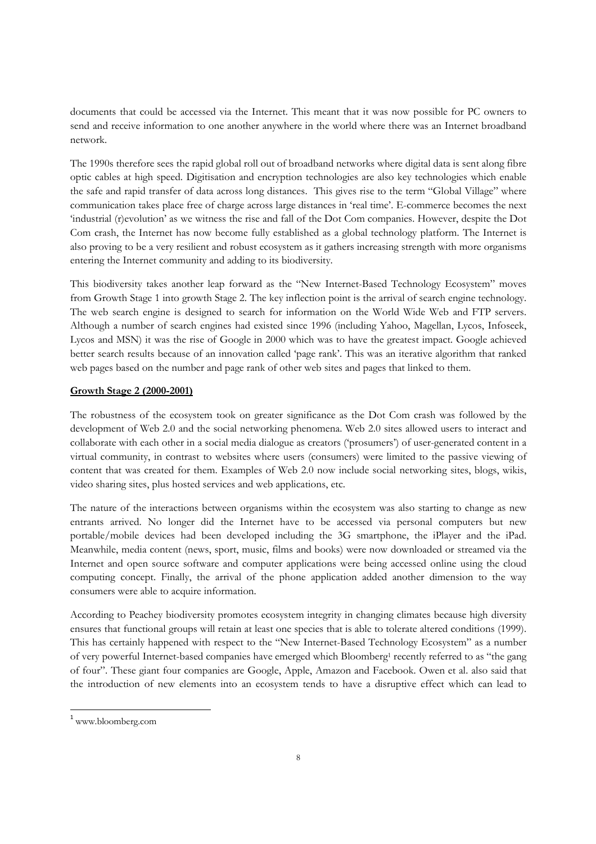documents that could be accessed via the Internet. This meant that it was now possible for PC owners to send and receive information to one another anywhere in the world where there was an Internet broadband network.

The 1990s therefore sees the rapid global roll out of broadband networks where digital data is sent along fibre optic cables at high speed. Digitisation and encryption technologies are also key technologies which enable the safe and rapid transfer of data across long distances. This gives rise to the term "Global Village" where communication takes place free of charge across large distances in 'real time'. E-commerce becomes the next 'industrial (r)evolution' as we witness the rise and fall of the Dot Com companies. However, despite the Dot Com crash, the Internet has now become fully established as a global technology platform. The Internet is also proving to be a very resilient and robust ecosystem as it gathers increasing strength with more organisms entering the Internet community and adding to its biodiversity.

This biodiversity takes another leap forward as the "New Internet-Based Technology Ecosystem" moves from Growth Stage 1 into growth Stage 2. The key inflection point is the arrival of search engine technology. The web search engine is designed to search for information on the World Wide Web and FTP servers. Although a number of search engines had existed since 1996 (including Yahoo, Magellan, Lycos, Infoseek, Lycos and MSN) it was the rise of Google in 2000 which was to have the greatest impact. Google achieved better search results because of an innovation called 'page rank'. This was an iterative algorithm that ranked web pages based on the number and page rank of other web sites and pages that linked to them.

## **Growth Stage 2 (2000-2001)**

The robustness of the ecosystem took on greater significance as the Dot Com crash was followed by the development of Web 2.0 and the social networking phenomena. Web 2.0 sites allowed users to interact and collaborate with each other in a social media dialogue as creators ('prosumers') of user-generated content in a virtual community, in contrast to websites where users (consumers) were limited to the passive viewing of content that was created for them. Examples of Web 2.0 now include social networking sites, blogs, wikis, video sharing sites, plus hosted services and web applications, etc.

The nature of the interactions between organisms within the ecosystem was also starting to change as new entrants arrived. No longer did the Internet have to be accessed via personal computers but new portable/mobile devices had been developed including the 3G smartphone, the iPlayer and the iPad. Meanwhile, media content (news, sport, music, films and books) were now downloaded or streamed via the Internet and open source software and computer applications were being accessed online using the cloud computing concept. Finally, the arrival of the phone application added another dimension to the way consumers were able to acquire information.

According to Peachey biodiversity promotes ecosystem integrity in changing climates because high diversity ensures that functional groups will retain at least one species that is able to tolerate altered conditions (1999). This has certainly happened with respect to the "New Internet-Based Technology Ecosystem" as a number of very powerful Internet-based companies have emerged which Bloomberg<sup>1</sup> recently referred to as "the gang of four". These giant four companies are Google, Apple, Amazon and Facebook. Owen et al. also said that the introduction of new elements into an ecosystem tends to have a disruptive effect which can lead to

 $\overline{a}$ 

<sup>1</sup> www.bloomberg.com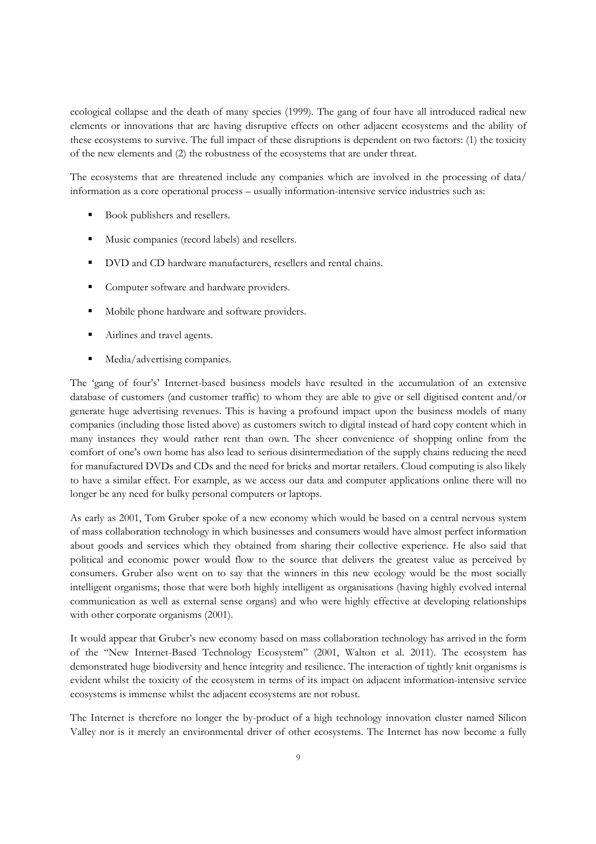ecological collapse and the death of many species (1999). The gang of four have all introduced radical new elements or innovations that are having disruptive effects on other adjacent ecosystems and the ability of these ecosystems to survive. The full impact of these disruptions is dependent on two factors: (1) the toxicity of the new elements and (2) the robustness of the ecosystems that are under threat.

The ecosystems that are threatened include any companies which are involved in the processing of data/ information as a core operational process – usually information-intensive service industries such as:

- Book publishers and resellers.
- Music companies (record labels) and resellers.
- DVD and CD hardware manufacturers, resellers and rental chains.
- Computer software and hardware providers.
- Mobile phone hardware and software providers.
- Airlines and travel agents.
- Media/advertising companies.

The 'gang of four's' Internet-based business models have resulted in the accumulation of an extensive database of customers (and customer traffic) to whom they are able to give or sell digitised content and/or generate huge advertising revenues. This is having a profound impact upon the business models of many companies (including those listed above) as customers switch to digital instead of hard copy content which in many instances they would rather rent than own. The sheer convenience of shopping online from the comfort of one's own home has also lead to serious disintermediation of the supply chains reducing the need for manufactured DVDs and CDs and the need for bricks and mortar retailers. Cloud computing is also likely to have a similar effect. For example, as we access our data and computer applications online there will no longer be any need for bulky personal computers or laptops.

As early as 2001, Tom Gruber spoke of a new economy which would be based on a central nervous system of mass collaboration technology in which businesses and consumers would have almost perfect information about goods and services which they obtained from sharing their collective experience. He also said that political and economic power would flow to the source that delivers the greatest value as perceived by consumers. Gruber also went on to say that the winners in this new ecology would be the most socially intelligent organisms; those that were both highly intelligent as organisations (having highly evolved internal communication as well as external sense organs) and who were highly effective at developing relationships with other corporate organisms (2001).

It would appear that Gruber's new economy based on mass collaboration technology has arrived in the form of the "New Internet-Based Technology Ecosystem" (2001, Walton et al. 2011). The ecosystem has demonstrated huge biodiversity and hence integrity and resilience. The interaction of tightly knit organisms is evident whilst the toxicity of the ecosystem in terms of its impact on adjacent information-intensive service ecosystems is immense whilst the adjacent ecosystems are not robust.

The Internet is therefore no longer the by-product of a high technology innovation cluster named Silicon Valley nor is it merely an environmental driver of other ecosystems. The Internet has now become a fully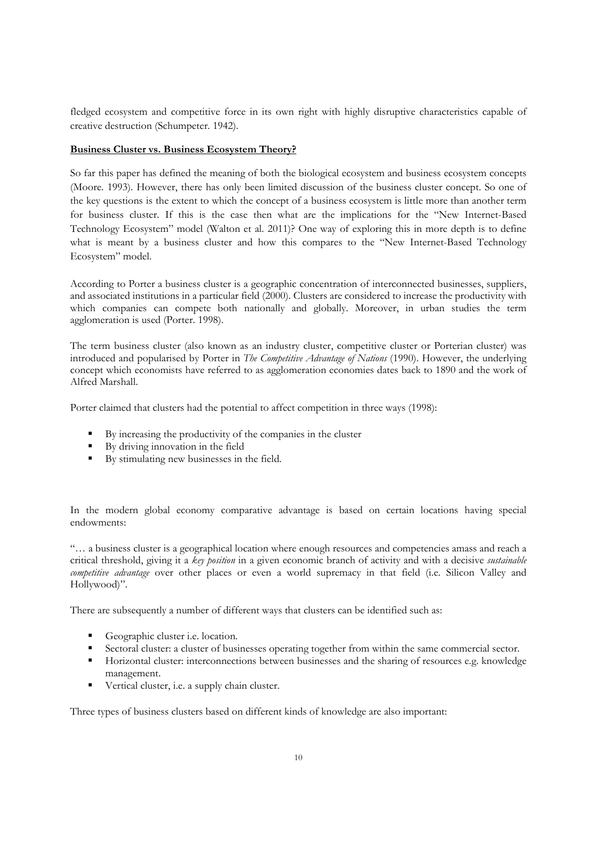fledged ecosystem and competitive force in its own right with highly disruptive characteristics capable of creative destruction (Schumpeter. 1942).

# **Business Cluster vs. Business Ecosystem Theory?**

So far this paper has defined the meaning of both the biological ecosystem and business ecosystem concepts (Moore. 1993). However, there has only been limited discussion of the business cluster concept. So one of the key questions is the extent to which the concept of a business ecosystem is little more than another term for business cluster. If this is the case then what are the implications for the "New Internet-Based Technology Ecosystem" model (Walton et al. 2011)? One way of exploring this in more depth is to define what is meant by a business cluster and how this compares to the "New Internet-Based Technology Ecosystem" model.

According to Porter a business cluster is a geographic concentration of interconnected businesses, suppliers, and associated institutions in a particular field (2000). Clusters are considered to increase the productivity with which companies can compete both nationally and globally. Moreover, in urban studies the term agglomeration is used (Porter. 1998).

The term business cluster (also known as an industry cluster, competitive cluster or Porterian cluster) was introduced and popularised by Porter in *The Competitive Advantage of Nations* (1990). However, the underlying concept which economists have referred to as agglomeration economies dates back to 1890 and the work of Alfred Marshall.

Porter claimed that clusters had the potential to affect competition in three ways (1998):

- By increasing the productivity of the companies in the cluster
- By driving innovation in the field
- By stimulating new businesses in the field.

In the modern global economy comparative advantage is based on certain locations having special endowments:

"… a business cluster is a geographical location where enough resources and competencies amass and reach a critical threshold, giving it a *key position* in a given economic branch of activity and with a decisive *sustainable competitive advantage* over other places or even a world supremacy in that field (i.e. Silicon Valley and Hollywood)".

There are subsequently a number of different ways that clusters can be identified such as:

- Geographic cluster i.e. location.
- Sectoral cluster: a cluster of businesses operating together from within the same commercial sector.
- Horizontal cluster: interconnections between businesses and the sharing of resources e.g. knowledge management.
- Vertical cluster, i.e. a supply chain cluster.

Three types of business clusters based on different kinds of knowledge are also important: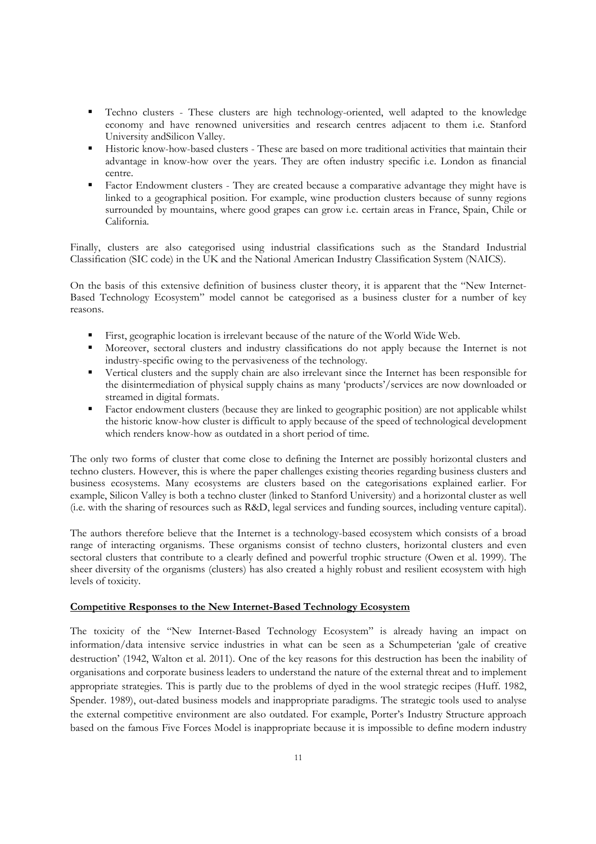- Techno clusters These clusters are high technology-oriented, well adapted to the knowledge economy and have renowned universities and research centres adjacent to them i.e. Stanford University andSilicon Valley.
- Historic know-how-based clusters These are based on more traditional activities that maintain their advantage in know-how over the years. They are often industry specific i.e. London as financial centre.
- Factor Endowment clusters They are created because a comparative advantage they might have is linked to a geographical position. For example, wine production clusters because of sunny regions surrounded by mountains, where good grapes can grow i.e. certain areas in France, Spain, Chile or California.

Finally, clusters are also categorised using industrial classifications such as the Standard Industrial Classification (SIC code) in the UK and the National American Industry Classification System (NAICS).

On the basis of this extensive definition of business cluster theory, it is apparent that the "New Internet-Based Technology Ecosystem" model cannot be categorised as a business cluster for a number of key reasons.

- First, geographic location is irrelevant because of the nature of the World Wide Web.
- Moreover, sectoral clusters and industry classifications do not apply because the Internet is not industry-specific owing to the pervasiveness of the technology.
- Vertical clusters and the supply chain are also irrelevant since the Internet has been responsible for the disintermediation of physical supply chains as many 'products'/services are now downloaded or streamed in digital formats.
- Factor endowment clusters (because they are linked to geographic position) are not applicable whilst the historic know-how cluster is difficult to apply because of the speed of technological development which renders know-how as outdated in a short period of time.

The only two forms of cluster that come close to defining the Internet are possibly horizontal clusters and techno clusters. However, this is where the paper challenges existing theories regarding business clusters and business ecosystems. Many ecosystems are clusters based on the categorisations explained earlier. For example, Silicon Valley is both a techno cluster (linked to Stanford University) and a horizontal cluster as well (i.e. with the sharing of resources such as R&D, legal services and funding sources, including venture capital).

The authors therefore believe that the Internet is a technology-based ecosystem which consists of a broad range of interacting organisms. These organisms consist of techno clusters, horizontal clusters and even sectoral clusters that contribute to a clearly defined and powerful trophic structure (Owen et al. 1999). The sheer diversity of the organisms (clusters) has also created a highly robust and resilient ecosystem with high levels of toxicity.

## **Competitive Responses to the New Internet-Based Technology Ecosystem**

The toxicity of the "New Internet-Based Technology Ecosystem" is already having an impact on information/data intensive service industries in what can be seen as a Schumpeterian 'gale of creative destruction' (1942, Walton et al. 2011). One of the key reasons for this destruction has been the inability of organisations and corporate business leaders to understand the nature of the external threat and to implement appropriate strategies. This is partly due to the problems of dyed in the wool strategic recipes (Huff. 1982, Spender. 1989), out-dated business models and inappropriate paradigms. The strategic tools used to analyse the external competitive environment are also outdated. For example, Porter's Industry Structure approach based on the famous Five Forces Model is inappropriate because it is impossible to define modern industry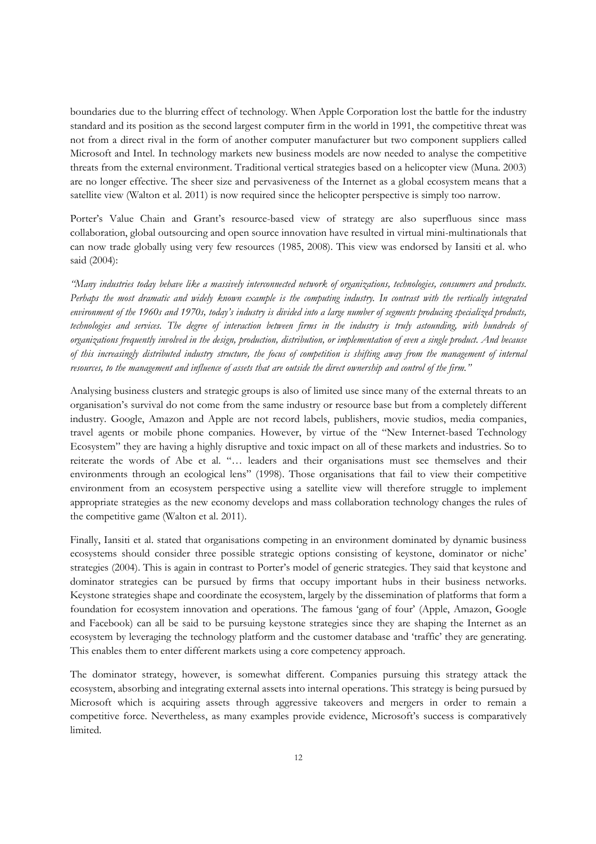boundaries due to the blurring effect of technology. When Apple Corporation lost the battle for the industry standard and its position as the second largest computer firm in the world in 1991, the competitive threat was not from a direct rival in the form of another computer manufacturer but two component suppliers called Microsoft and Intel. In technology markets new business models are now needed to analyse the competitive threats from the external environment. Traditional vertical strategies based on a helicopter view (Muna. 2003) are no longer effective. The sheer size and pervasiveness of the Internet as a global ecosystem means that a satellite view (Walton et al. 2011) is now required since the helicopter perspective is simply too narrow.

Porter's Value Chain and Grant's resource-based view of strategy are also superfluous since mass collaboration, global outsourcing and open source innovation have resulted in virtual mini-multinationals that can now trade globally using very few resources (1985, 2008). This view was endorsed by Iansiti et al. who said (2004):

*"Many industries today behave like a massively interconnected network of organizations, technologies, consumers and products. Perhaps the most dramatic and widely known example is the computing industry. In contrast with the vertically integrated environment of the 1960s and 1970s, today's industry is divided into a large number of segments producing specialized products, technologies and services. The degree of interaction between firms in the industry is truly astounding, with hundreds of organizations frequently involved in the design, production, distribution, or implementation of even a single product. And because of this increasingly distributed industry structure, the focus of competition is shifting away from the management of internal resources, to the management and influence of assets that are outside the direct ownership and control of the firm."*

Analysing business clusters and strategic groups is also of limited use since many of the external threats to an organisation's survival do not come from the same industry or resource base but from a completely different industry. Google, Amazon and Apple are not record labels, publishers, movie studios, media companies, travel agents or mobile phone companies. However, by virtue of the "New Internet-based Technology Ecosystem" they are having a highly disruptive and toxic impact on all of these markets and industries. So to reiterate the words of Abe et al. "… leaders and their organisations must see themselves and their environments through an ecological lens" (1998). Those organisations that fail to view their competitive environment from an ecosystem perspective using a satellite view will therefore struggle to implement appropriate strategies as the new economy develops and mass collaboration technology changes the rules of the competitive game (Walton et al. 2011).

Finally, Iansiti et al. stated that organisations competing in an environment dominated by dynamic business ecosystems should consider three possible strategic options consisting of keystone, dominator or niche' strategies (2004). This is again in contrast to Porter's model of generic strategies. They said that keystone and dominator strategies can be pursued by firms that occupy important hubs in their business networks. Keystone strategies shape and coordinate the ecosystem, largely by the dissemination of platforms that form a foundation for ecosystem innovation and operations. The famous 'gang of four' (Apple, Amazon, Google and Facebook) can all be said to be pursuing keystone strategies since they are shaping the Internet as an ecosystem by leveraging the technology platform and the customer database and 'traffic' they are generating. This enables them to enter different markets using a core competency approach.

The dominator strategy, however, is somewhat different. Companies pursuing this strategy attack the ecosystem, absorbing and integrating external assets into internal operations. This strategy is being pursued by Microsoft which is acquiring assets through aggressive takeovers and mergers in order to remain a competitive force. Nevertheless, as many examples provide evidence, Microsoft's success is comparatively limited.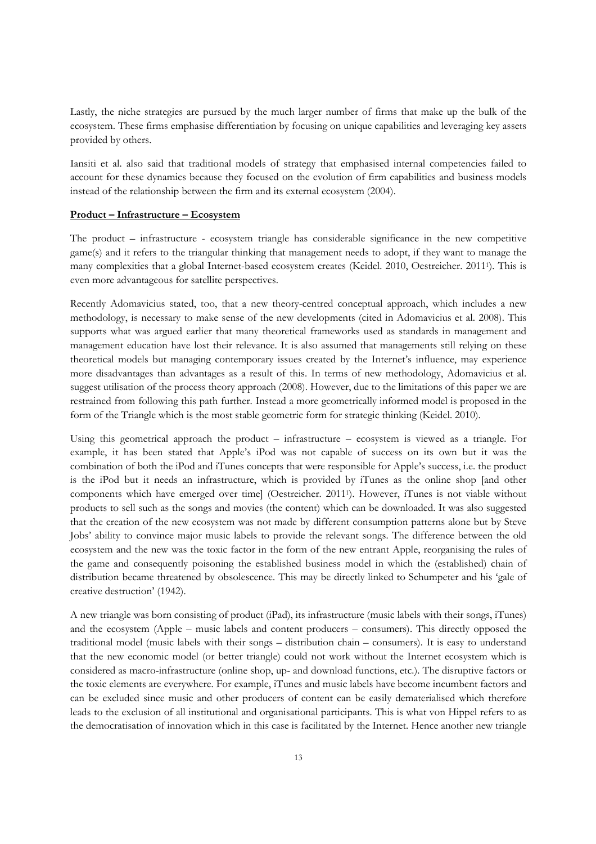Lastly, the niche strategies are pursued by the much larger number of firms that make up the bulk of the ecosystem. These firms emphasise differentiation by focusing on unique capabilities and leveraging key assets provided by others.

Iansiti et al. also said that traditional models of strategy that emphasised internal competencies failed to account for these dynamics because they focused on the evolution of firm capabilities and business models instead of the relationship between the firm and its external ecosystem (2004).

#### **Product – Infrastructure – Ecosystem**

The product – infrastructure - ecosystem triangle has considerable significance in the new competitive game(s) and it refers to the triangular thinking that management needs to adopt, if they want to manage the many complexities that a global Internet-based ecosystem creates (Keidel. 2010, Oestreicher. 2011<sup>1</sup> ). This is even more advantageous for satellite perspectives.

Recently Adomavicius stated, too, that a new theory-centred conceptual approach, which includes a new methodology, is necessary to make sense of the new developments (cited in Adomavicius et al. 2008). This supports what was argued earlier that many theoretical frameworks used as standards in management and management education have lost their relevance. It is also assumed that managements still relying on these theoretical models but managing contemporary issues created by the Internet's influence, may experience more disadvantages than advantages as a result of this. In terms of new methodology, Adomavicius et al. suggest utilisation of the process theory approach (2008). However, due to the limitations of this paper we are restrained from following this path further. Instead a more geometrically informed model is proposed in the form of the Triangle which is the most stable geometric form for strategic thinking (Keidel. 2010).

Using this geometrical approach the product – infrastructure – ecosystem is viewed as a triangle. For example, it has been stated that Apple's iPod was not capable of success on its own but it was the combination of both the iPod and iTunes concepts that were responsible for Apple's success, i.e. the product is the iPod but it needs an infrastructure, which is provided by iTunes as the online shop [and other components which have emerged over time] (Oestreicher. 2011<sup>1</sup> ). However, iTunes is not viable without products to sell such as the songs and movies (the content) which can be downloaded. It was also suggested that the creation of the new ecosystem was not made by different consumption patterns alone but by Steve Jobs' ability to convince major music labels to provide the relevant songs. The difference between the old ecosystem and the new was the toxic factor in the form of the new entrant Apple, reorganising the rules of the game and consequently poisoning the established business model in which the (established) chain of distribution became threatened by obsolescence. This may be directly linked to Schumpeter and his 'gale of creative destruction' (1942).

A new triangle was born consisting of product (iPad), its infrastructure (music labels with their songs, iTunes) and the ecosystem (Apple – music labels and content producers – consumers). This directly opposed the traditional model (music labels with their songs – distribution chain – consumers). It is easy to understand that the new economic model (or better triangle) could not work without the Internet ecosystem which is considered as macro-infrastructure (online shop, up- and download functions, etc.). The disruptive factors or the toxic elements are everywhere. For example, iTunes and music labels have become incumbent factors and can be excluded since music and other producers of content can be easily dematerialised which therefore leads to the exclusion of all institutional and organisational participants. This is what von Hippel refers to as the democratisation of innovation which in this case is facilitated by the Internet. Hence another new triangle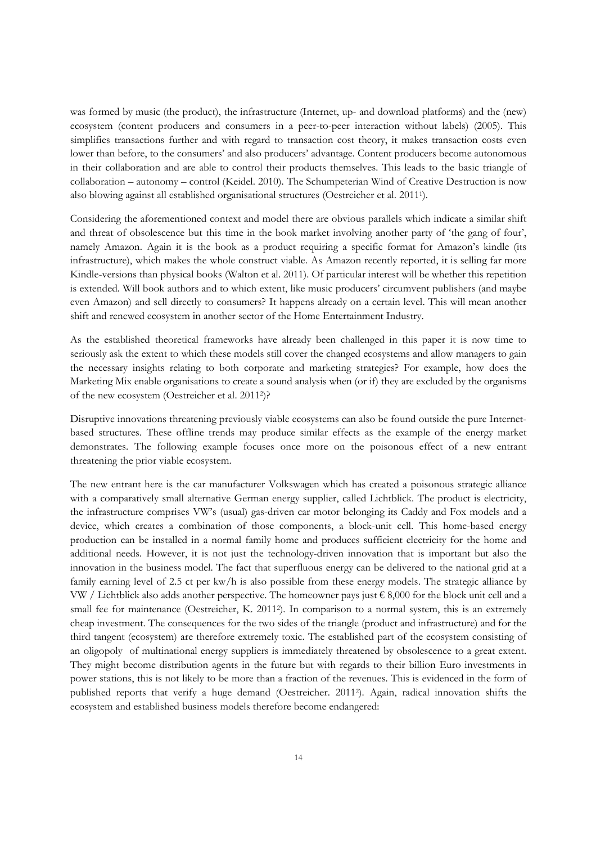was formed by music (the product), the infrastructure (Internet, up- and download platforms) and the (new) ecosystem (content producers and consumers in a peer-to-peer interaction without labels) (2005). This simplifies transactions further and with regard to transaction cost theory, it makes transaction costs even lower than before, to the consumers' and also producers' advantage. Content producers become autonomous in their collaboration and are able to control their products themselves. This leads to the basic triangle of collaboration – autonomy – control (Keidel. 2010). The Schumpeterian Wind of Creative Destruction is now also blowing against all established organisational structures (Oestreicher et al. 2011<sup>1</sup> ).

Considering the aforementioned context and model there are obvious parallels which indicate a similar shift and threat of obsolescence but this time in the book market involving another party of 'the gang of four', namely Amazon. Again it is the book as a product requiring a specific format for Amazon's kindle (its infrastructure), which makes the whole construct viable. As Amazon recently reported, it is selling far more Kindle-versions than physical books (Walton et al. 2011). Of particular interest will be whether this repetition is extended. Will book authors and to which extent, like music producers' circumvent publishers (and maybe even Amazon) and sell directly to consumers? It happens already on a certain level. This will mean another shift and renewed ecosystem in another sector of the Home Entertainment Industry.

As the established theoretical frameworks have already been challenged in this paper it is now time to seriously ask the extent to which these models still cover the changed ecosystems and allow managers to gain the necessary insights relating to both corporate and marketing strategies? For example, how does the Marketing Mix enable organisations to create a sound analysis when (or if) they are excluded by the organisms of the new ecosystem (Oestreicher et al. 2011<sup>2</sup> )?

Disruptive innovations threatening previously viable ecosystems can also be found outside the pure Internetbased structures. These offline trends may produce similar effects as the example of the energy market demonstrates. The following example focuses once more on the poisonous effect of a new entrant threatening the prior viable ecosystem.

The new entrant here is the car manufacturer Volkswagen which has created a poisonous strategic alliance with a comparatively small alternative German energy supplier, called Lichtblick. The product is electricity, the infrastructure comprises VW's (usual) gas-driven car motor belonging its Caddy and Fox models and a device, which creates a combination of those components, a block-unit cell. This home-based energy production can be installed in a normal family home and produces sufficient electricity for the home and additional needs. However, it is not just the technology-driven innovation that is important but also the innovation in the business model. The fact that superfluous energy can be delivered to the national grid at a family earning level of 2.5 ct per kw/h is also possible from these energy models. The strategic alliance by VW / Lichtblick also adds another perspective. The homeowner pays just  $\epsilon$  8,000 for the block unit cell and a small fee for maintenance (Oestreicher, K. 2011<sup>2</sup>). In comparison to a normal system, this is an extremely cheap investment. The consequences for the two sides of the triangle (product and infrastructure) and for the third tangent (ecosystem) are therefore extremely toxic. The established part of the ecosystem consisting of an oligopoly of multinational energy suppliers is immediately threatened by obsolescence to a great extent. They might become distribution agents in the future but with regards to their billion Euro investments in power stations, this is not likely to be more than a fraction of the revenues. This is evidenced in the form of published reports that verify a huge demand (Oestreicher. 2011<sup>2</sup> ). Again, radical innovation shifts the ecosystem and established business models therefore become endangered: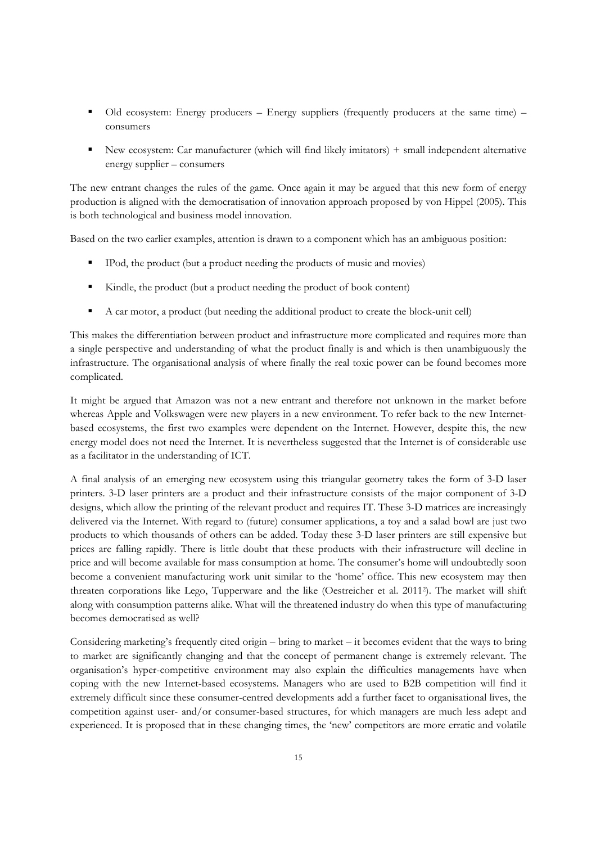- Old ecosystem: Energy producers Energy suppliers (frequently producers at the same time) consumers
- New ecosystem: Car manufacturer (which will find likely imitators) + small independent alternative energy supplier – consumers

The new entrant changes the rules of the game. Once again it may be argued that this new form of energy production is aligned with the democratisation of innovation approach proposed by von Hippel (2005). This is both technological and business model innovation.

Based on the two earlier examples, attention is drawn to a component which has an ambiguous position:

- IPod, the product (but a product needing the products of music and movies)
- Kindle, the product (but a product needing the product of book content)
- A car motor, a product (but needing the additional product to create the block-unit cell)

This makes the differentiation between product and infrastructure more complicated and requires more than a single perspective and understanding of what the product finally is and which is then unambiguously the infrastructure. The organisational analysis of where finally the real toxic power can be found becomes more complicated.

It might be argued that Amazon was not a new entrant and therefore not unknown in the market before whereas Apple and Volkswagen were new players in a new environment. To refer back to the new Internetbased ecosystems, the first two examples were dependent on the Internet. However, despite this, the new energy model does not need the Internet. It is nevertheless suggested that the Internet is of considerable use as a facilitator in the understanding of ICT.

A final analysis of an emerging new ecosystem using this triangular geometry takes the form of 3-D laser printers. 3-D laser printers are a product and their infrastructure consists of the major component of 3-D designs, which allow the printing of the relevant product and requires IT. These 3-D matrices are increasingly delivered via the Internet. With regard to (future) consumer applications, a toy and a salad bowl are just two products to which thousands of others can be added. Today these 3-D laser printers are still expensive but prices are falling rapidly. There is little doubt that these products with their infrastructure will decline in price and will become available for mass consumption at home. The consumer's home will undoubtedly soon become a convenient manufacturing work unit similar to the 'home' office. This new ecosystem may then threaten corporations like Lego, Tupperware and the like (Oestreicher et al. 2011<sup>2</sup> ). The market will shift along with consumption patterns alike. What will the threatened industry do when this type of manufacturing becomes democratised as well?

Considering marketing's frequently cited origin – bring to market – it becomes evident that the ways to bring to market are significantly changing and that the concept of permanent change is extremely relevant. The organisation's hyper-competitive environment may also explain the difficulties managements have when coping with the new Internet-based ecosystems. Managers who are used to B2B competition will find it extremely difficult since these consumer-centred developments add a further facet to organisational lives, the competition against user- and/or consumer-based structures, for which managers are much less adept and experienced. It is proposed that in these changing times, the 'new' competitors are more erratic and volatile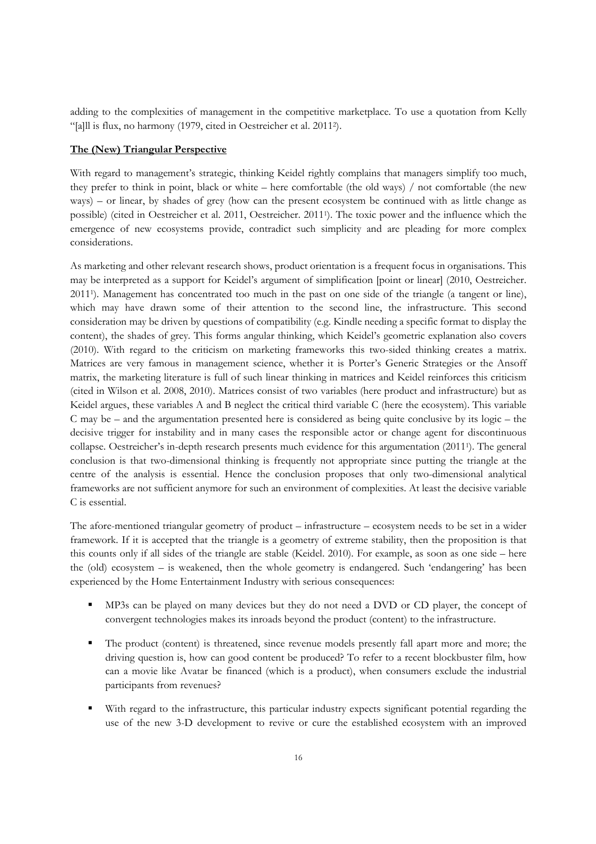adding to the complexities of management in the competitive marketplace. To use a quotation from Kelly "[a]ll is flux, no harmony (1979, cited in Oestreicher et al. 2011<sup>2</sup> ).

# **The (New) Triangular Perspective**

With regard to management's strategic, thinking Keidel rightly complains that managers simplify too much, they prefer to think in point, black or white – here comfortable (the old ways) / not comfortable (the new ways) – or linear, by shades of grey (how can the present ecosystem be continued with as little change as possible) (cited in Oestreicher et al. 2011, Oestreicher. 2011<sup>1</sup> ). The toxic power and the influence which the emergence of new ecosystems provide, contradict such simplicity and are pleading for more complex considerations.

As marketing and other relevant research shows, product orientation is a frequent focus in organisations. This may be interpreted as a support for Keidel's argument of simplification [point or linear] (2010, Oestreicher. 2011<sup>1</sup> ). Management has concentrated too much in the past on one side of the triangle (a tangent or line), which may have drawn some of their attention to the second line, the infrastructure. This second consideration may be driven by questions of compatibility (e.g. Kindle needing a specific format to display the content), the shades of grey. This forms angular thinking, which Keidel's geometric explanation also covers (2010). With regard to the criticism on marketing frameworks this two-sided thinking creates a matrix. Matrices are very famous in management science, whether it is Porter's Generic Strategies or the Ansoff matrix, the marketing literature is full of such linear thinking in matrices and Keidel reinforces this criticism (cited in Wilson et al. 2008, 2010). Matrices consist of two variables (here product and infrastructure) but as Keidel argues, these variables A and B neglect the critical third variable C (here the ecosystem). This variable C may be – and the argumentation presented here is considered as being quite conclusive by its logic – the decisive trigger for instability and in many cases the responsible actor or change agent for discontinuous collapse. Oestreicher's in-depth research presents much evidence for this argumentation (2011<sup>1</sup> ). The general conclusion is that two-dimensional thinking is frequently not appropriate since putting the triangle at the centre of the analysis is essential. Hence the conclusion proposes that only two-dimensional analytical frameworks are not sufficient anymore for such an environment of complexities. At least the decisive variable C is essential.

The afore-mentioned triangular geometry of product – infrastructure – ecosystem needs to be set in a wider framework. If it is accepted that the triangle is a geometry of extreme stability, then the proposition is that this counts only if all sides of the triangle are stable (Keidel. 2010). For example, as soon as one side – here the (old) ecosystem – is weakened, then the whole geometry is endangered. Such 'endangering' has been experienced by the Home Entertainment Industry with serious consequences:

- MP3s can be played on many devices but they do not need a DVD or CD player, the concept of convergent technologies makes its inroads beyond the product (content) to the infrastructure.
- The product (content) is threatened, since revenue models presently fall apart more and more; the driving question is, how can good content be produced? To refer to a recent blockbuster film, how can a movie like Avatar be financed (which is a product), when consumers exclude the industrial participants from revenues?
- With regard to the infrastructure, this particular industry expects significant potential regarding the use of the new 3-D development to revive or cure the established ecosystem with an improved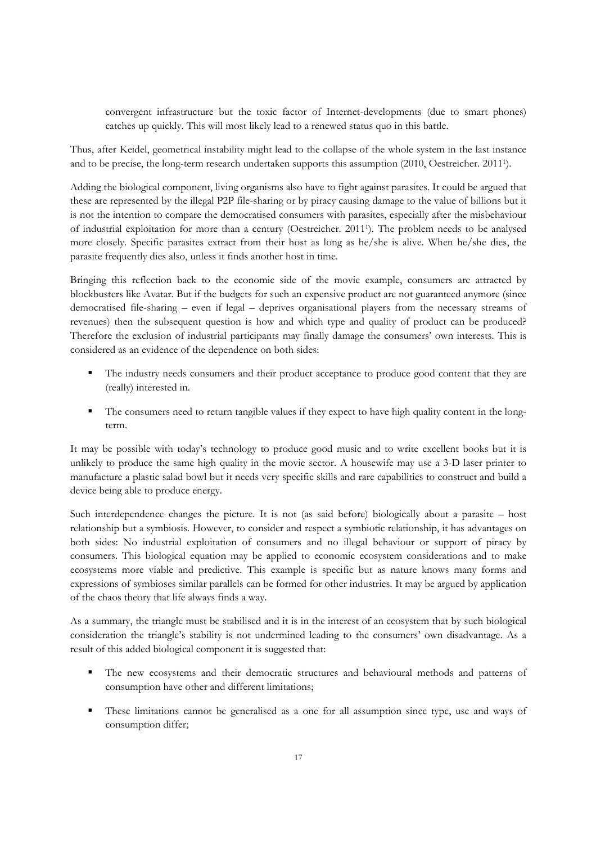convergent infrastructure but the toxic factor of Internet-developments (due to smart phones) catches up quickly. This will most likely lead to a renewed status quo in this battle.

Thus, after Keidel, geometrical instability might lead to the collapse of the whole system in the last instance and to be precise, the long-term research undertaken supports this assumption (2010, Oestreicher. 2011<sup>1</sup> ).

Adding the biological component, living organisms also have to fight against parasites. It could be argued that these are represented by the illegal P2P file-sharing or by piracy causing damage to the value of billions but it is not the intention to compare the democratised consumers with parasites, especially after the misbehaviour of industrial exploitation for more than a century (Oestreicher. 2011<sup>1</sup> ). The problem needs to be analysed more closely. Specific parasites extract from their host as long as he/she is alive. When he/she dies, the parasite frequently dies also, unless it finds another host in time.

Bringing this reflection back to the economic side of the movie example, consumers are attracted by blockbusters like Avatar. But if the budgets for such an expensive product are not guaranteed anymore (since democratised file-sharing – even if legal – deprives organisational players from the necessary streams of revenues) then the subsequent question is how and which type and quality of product can be produced? Therefore the exclusion of industrial participants may finally damage the consumers' own interests. This is considered as an evidence of the dependence on both sides:

- The industry needs consumers and their product acceptance to produce good content that they are (really) interested in.
- The consumers need to return tangible values if they expect to have high quality content in the longterm.

It may be possible with today's technology to produce good music and to write excellent books but it is unlikely to produce the same high quality in the movie sector. A housewife may use a 3-D laser printer to manufacture a plastic salad bowl but it needs very specific skills and rare capabilities to construct and build a device being able to produce energy.

Such interdependence changes the picture. It is not (as said before) biologically about a parasite – host relationship but a symbiosis. However, to consider and respect a symbiotic relationship, it has advantages on both sides: No industrial exploitation of consumers and no illegal behaviour or support of piracy by consumers. This biological equation may be applied to economic ecosystem considerations and to make ecosystems more viable and predictive. This example is specific but as nature knows many forms and expressions of symbioses similar parallels can be formed for other industries. It may be argued by application of the chaos theory that life always finds a way.

As a summary, the triangle must be stabilised and it is in the interest of an ecosystem that by such biological consideration the triangle's stability is not undermined leading to the consumers' own disadvantage. As a result of this added biological component it is suggested that:

- The new ecosystems and their democratic structures and behavioural methods and patterns of consumption have other and different limitations;
- These limitations cannot be generalised as a one for all assumption since type, use and ways of consumption differ;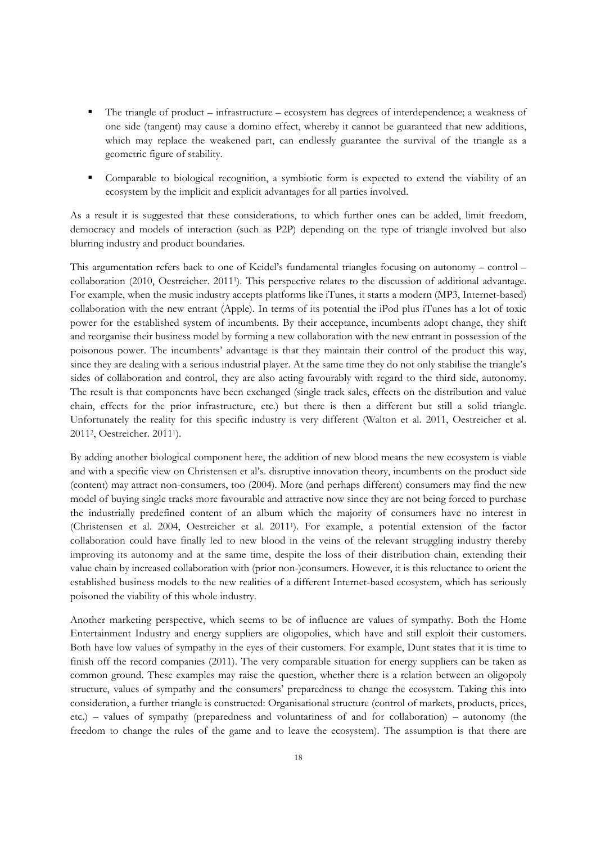- The triangle of product infrastructure ecosystem has degrees of interdependence; a weakness of one side (tangent) may cause a domino effect, whereby it cannot be guaranteed that new additions, which may replace the weakened part, can endlessly guarantee the survival of the triangle as a geometric figure of stability.
- Comparable to biological recognition, a symbiotic form is expected to extend the viability of an ecosystem by the implicit and explicit advantages for all parties involved.

As a result it is suggested that these considerations, to which further ones can be added, limit freedom, democracy and models of interaction (such as P2P) depending on the type of triangle involved but also blurring industry and product boundaries.

This argumentation refers back to one of Keidel's fundamental triangles focusing on autonomy – control – collaboration (2010, Oestreicher. 2011<sup>1</sup> ). This perspective relates to the discussion of additional advantage. For example, when the music industry accepts platforms like iTunes, it starts a modern (MP3, Internet-based) collaboration with the new entrant (Apple). In terms of its potential the iPod plus iTunes has a lot of toxic power for the established system of incumbents. By their acceptance, incumbents adopt change, they shift and reorganise their business model by forming a new collaboration with the new entrant in possession of the poisonous power. The incumbents' advantage is that they maintain their control of the product this way, since they are dealing with a serious industrial player. At the same time they do not only stabilise the triangle's sides of collaboration and control, they are also acting favourably with regard to the third side, autonomy. The result is that components have been exchanged (single track sales, effects on the distribution and value chain, effects for the prior infrastructure, etc.) but there is then a different but still a solid triangle. Unfortunately the reality for this specific industry is very different (Walton et al. 2011, Oestreicher et al. 2011<sup>2</sup> , Oestreicher. 2011<sup>1</sup> ).

By adding another biological component here, the addition of new blood means the new ecosystem is viable and with a specific view on Christensen et al's. disruptive innovation theory, incumbents on the product side (content) may attract non-consumers, too (2004). More (and perhaps different) consumers may find the new model of buying single tracks more favourable and attractive now since they are not being forced to purchase the industrially predefined content of an album which the majority of consumers have no interest in (Christensen et al. 2004, Oestreicher et al. 2011<sup>1</sup> ). For example, a potential extension of the factor collaboration could have finally led to new blood in the veins of the relevant struggling industry thereby improving its autonomy and at the same time, despite the loss of their distribution chain, extending their value chain by increased collaboration with (prior non-)consumers. However, it is this reluctance to orient the established business models to the new realities of a different Internet-based ecosystem, which has seriously poisoned the viability of this whole industry.

Another marketing perspective, which seems to be of influence are values of sympathy. Both the Home Entertainment Industry and energy suppliers are oligopolies, which have and still exploit their customers. Both have low values of sympathy in the eyes of their customers. For example, Dunt states that it is time to finish off the record companies (2011). The very comparable situation for energy suppliers can be taken as common ground. These examples may raise the question, whether there is a relation between an oligopoly structure, values of sympathy and the consumers' preparedness to change the ecosystem. Taking this into consideration, a further triangle is constructed: Organisational structure (control of markets, products, prices, etc.) – values of sympathy (preparedness and voluntariness of and for collaboration) – autonomy (the freedom to change the rules of the game and to leave the ecosystem). The assumption is that there are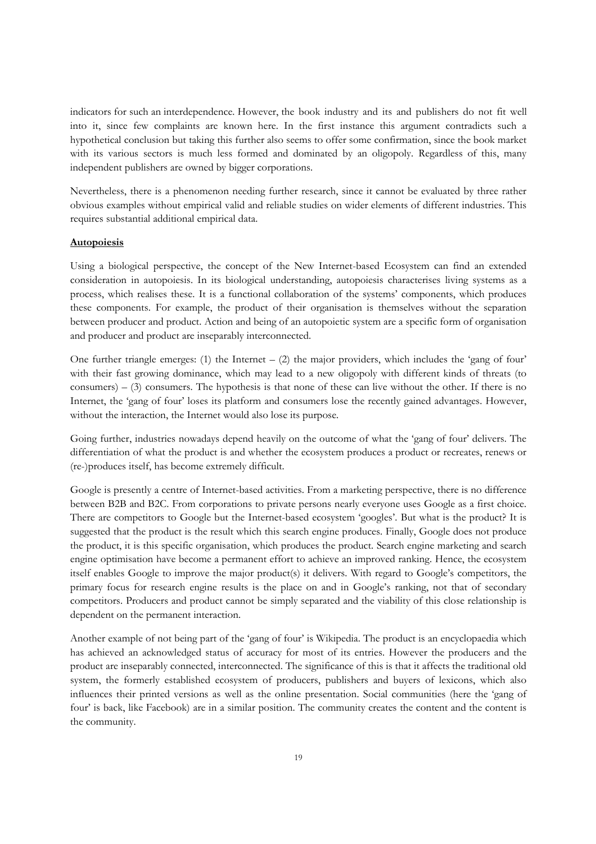indicators for such an interdependence. However, the book industry and its and publishers do not fit well into it, since few complaints are known here. In the first instance this argument contradicts such a hypothetical conclusion but taking this further also seems to offer some confirmation, since the book market with its various sectors is much less formed and dominated by an oligopoly. Regardless of this, many independent publishers are owned by bigger corporations.

Nevertheless, there is a phenomenon needing further research, since it cannot be evaluated by three rather obvious examples without empirical valid and reliable studies on wider elements of different industries. This requires substantial additional empirical data.

### **Autopoiesis**

Using a biological perspective, the concept of the New Internet-based Ecosystem can find an extended consideration in autopoiesis. In its biological understanding, autopoiesis characterises living systems as a process, which realises these. It is a functional collaboration of the systems' components, which produces these components. For example, the product of their organisation is themselves without the separation between producer and product. Action and being of an autopoietic system are a specific form of organisation and producer and product are inseparably interconnected.

One further triangle emerges: (1) the Internet  $-$  (2) the major providers, which includes the 'gang of four' with their fast growing dominance, which may lead to a new oligopoly with different kinds of threats (to consumers) –  $(3)$  consumers. The hypothesis is that none of these can live without the other. If there is no Internet, the 'gang of four' loses its platform and consumers lose the recently gained advantages. However, without the interaction, the Internet would also lose its purpose.

Going further, industries nowadays depend heavily on the outcome of what the 'gang of four' delivers. The differentiation of what the product is and whether the ecosystem produces a product or recreates, renews or (re-)produces itself, has become extremely difficult.

Google is presently a centre of Internet-based activities. From a marketing perspective, there is no difference between B2B and B2C. From corporations to private persons nearly everyone uses Google as a first choice. There are competitors to Google but the Internet-based ecosystem 'googles'. But what is the product? It is suggested that the product is the result which this search engine produces. Finally, Google does not produce the product, it is this specific organisation, which produces the product. Search engine marketing and search engine optimisation have become a permanent effort to achieve an improved ranking. Hence, the ecosystem itself enables Google to improve the major product(s) it delivers. With regard to Google's competitors, the primary focus for research engine results is the place on and in Google's ranking, not that of secondary competitors. Producers and product cannot be simply separated and the viability of this close relationship is dependent on the permanent interaction.

Another example of not being part of the 'gang of four' is Wikipedia. The product is an encyclopaedia which has achieved an acknowledged status of accuracy for most of its entries. However the producers and the product are inseparably connected, interconnected. The significance of this is that it affects the traditional old system, the formerly established ecosystem of producers, publishers and buyers of lexicons, which also influences their printed versions as well as the online presentation. Social communities (here the 'gang of four' is back, like Facebook) are in a similar position. The community creates the content and the content is the community.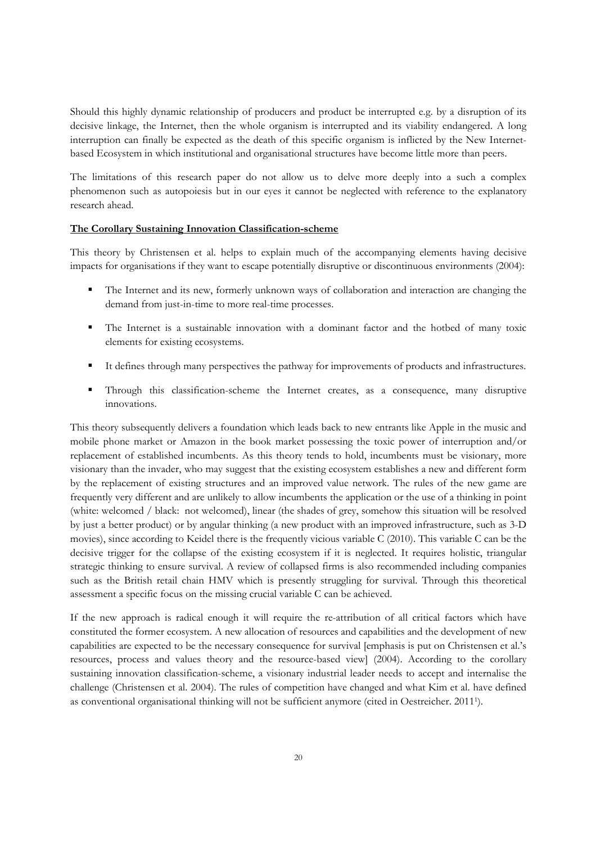Should this highly dynamic relationship of producers and product be interrupted e.g. by a disruption of its decisive linkage, the Internet, then the whole organism is interrupted and its viability endangered. A long interruption can finally be expected as the death of this specific organism is inflicted by the New Internetbased Ecosystem in which institutional and organisational structures have become little more than peers.

The limitations of this research paper do not allow us to delve more deeply into a such a complex phenomenon such as autopoiesis but in our eyes it cannot be neglected with reference to the explanatory research ahead.

## **The Corollary Sustaining Innovation Classification-scheme**

This theory by Christensen et al. helps to explain much of the accompanying elements having decisive impacts for organisations if they want to escape potentially disruptive or discontinuous environments (2004):

- The Internet and its new, formerly unknown ways of collaboration and interaction are changing the demand from just-in-time to more real-time processes.
- The Internet is a sustainable innovation with a dominant factor and the hotbed of many toxic elements for existing ecosystems.
- It defines through many perspectives the pathway for improvements of products and infrastructures.
- Through this classification-scheme the Internet creates, as a consequence, many disruptive innovations.

This theory subsequently delivers a foundation which leads back to new entrants like Apple in the music and mobile phone market or Amazon in the book market possessing the toxic power of interruption and/or replacement of established incumbents. As this theory tends to hold, incumbents must be visionary, more visionary than the invader, who may suggest that the existing ecosystem establishes a new and different form by the replacement of existing structures and an improved value network. The rules of the new game are frequently very different and are unlikely to allow incumbents the application or the use of a thinking in point (white: welcomed / black: not welcomed), linear (the shades of grey, somehow this situation will be resolved by just a better product) or by angular thinking (a new product with an improved infrastructure, such as 3-D movies), since according to Keidel there is the frequently vicious variable C (2010). This variable C can be the decisive trigger for the collapse of the existing ecosystem if it is neglected. It requires holistic, triangular strategic thinking to ensure survival. A review of collapsed firms is also recommended including companies such as the British retail chain HMV which is presently struggling for survival. Through this theoretical assessment a specific focus on the missing crucial variable C can be achieved.

If the new approach is radical enough it will require the re-attribution of all critical factors which have constituted the former ecosystem. A new allocation of resources and capabilities and the development of new capabilities are expected to be the necessary consequence for survival [emphasis is put on Christensen et al.'s resources, process and values theory and the resource-based view] (2004). According to the corollary sustaining innovation classification-scheme, a visionary industrial leader needs to accept and internalise the challenge (Christensen et al. 2004). The rules of competition have changed and what Kim et al. have defined as conventional organisational thinking will not be sufficient anymore (cited in Oestreicher. 2011<sup>1</sup> ).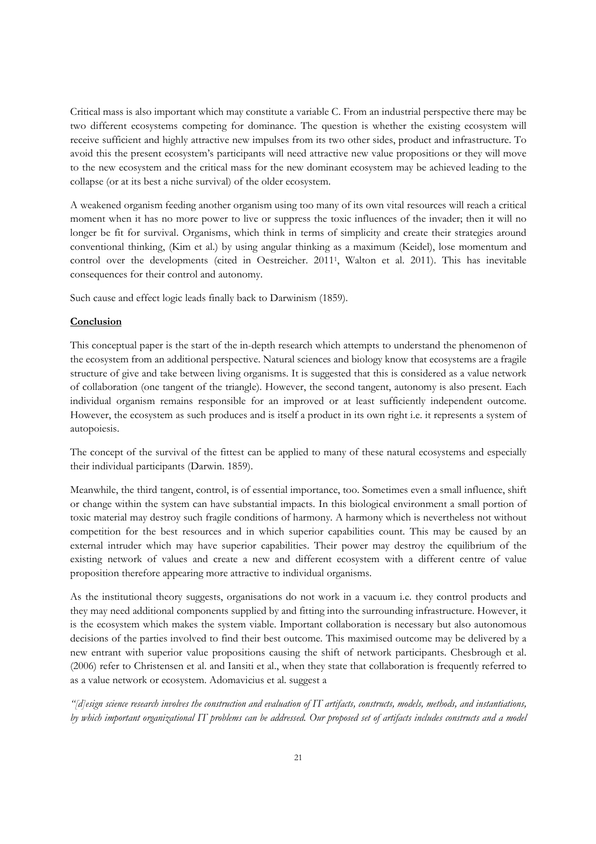Critical mass is also important which may constitute a variable C. From an industrial perspective there may be two different ecosystems competing for dominance. The question is whether the existing ecosystem will receive sufficient and highly attractive new impulses from its two other sides, product and infrastructure. To avoid this the present ecosystem's participants will need attractive new value propositions or they will move to the new ecosystem and the critical mass for the new dominant ecosystem may be achieved leading to the collapse (or at its best a niche survival) of the older ecosystem.

A weakened organism feeding another organism using too many of its own vital resources will reach a critical moment when it has no more power to live or suppress the toxic influences of the invader; then it will no longer be fit for survival. Organisms, which think in terms of simplicity and create their strategies around conventional thinking, (Kim et al.) by using angular thinking as a maximum (Keidel), lose momentum and control over the developments (cited in Oestreicher. 2011<sup>1</sup> , Walton et al. 2011). This has inevitable consequences for their control and autonomy.

Such cause and effect logic leads finally back to Darwinism (1859).

## **Conclusion**

This conceptual paper is the start of the in-depth research which attempts to understand the phenomenon of the ecosystem from an additional perspective. Natural sciences and biology know that ecosystems are a fragile structure of give and take between living organisms. It is suggested that this is considered as a value network of collaboration (one tangent of the triangle). However, the second tangent, autonomy is also present. Each individual organism remains responsible for an improved or at least sufficiently independent outcome. However, the ecosystem as such produces and is itself a product in its own right i.e. it represents a system of autopoiesis.

The concept of the survival of the fittest can be applied to many of these natural ecosystems and especially their individual participants (Darwin. 1859).

Meanwhile, the third tangent, control, is of essential importance, too. Sometimes even a small influence, shift or change within the system can have substantial impacts. In this biological environment a small portion of toxic material may destroy such fragile conditions of harmony. A harmony which is nevertheless not without competition for the best resources and in which superior capabilities count. This may be caused by an external intruder which may have superior capabilities. Their power may destroy the equilibrium of the existing network of values and create a new and different ecosystem with a different centre of value proposition therefore appearing more attractive to individual organisms.

As the institutional theory suggests, organisations do not work in a vacuum i.e. they control products and they may need additional components supplied by and fitting into the surrounding infrastructure. However, it is the ecosystem which makes the system viable. Important collaboration is necessary but also autonomous decisions of the parties involved to find their best outcome. This maximised outcome may be delivered by a new entrant with superior value propositions causing the shift of network participants. Chesbrough et al. (2006) refer to Christensen et al. and Iansiti et al., when they state that collaboration is frequently referred to as a value network or ecosystem. Adomavicius et al. suggest a

*"[d]esign science research involves the construction and evaluation of IT artifacts, constructs, models, methods, and instantiations, by which important organizational IT problems can be addressed. Our proposed set of artifacts includes constructs and a model*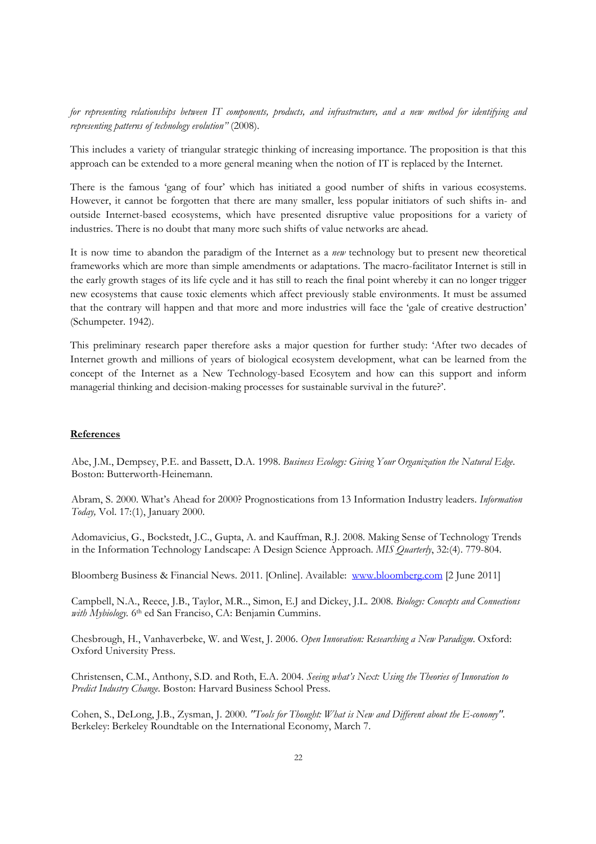*for representing relationships between IT components, products, and infrastructure, and a new method for identifying and representing patterns of technology evolution"* (2008).

This includes a variety of triangular strategic thinking of increasing importance. The proposition is that this approach can be extended to a more general meaning when the notion of IT is replaced by the Internet.

There is the famous 'gang of four' which has initiated a good number of shifts in various ecosystems. However, it cannot be forgotten that there are many smaller, less popular initiators of such shifts in- and outside Internet-based ecosystems, which have presented disruptive value propositions for a variety of industries. There is no doubt that many more such shifts of value networks are ahead.

It is now time to abandon the paradigm of the Internet as a *new* technology but to present new theoretical frameworks which are more than simple amendments or adaptations. The macro-facilitator Internet is still in the early growth stages of its life cycle and it has still to reach the final point whereby it can no longer trigger new ecosystems that cause toxic elements which affect previously stable environments. It must be assumed that the contrary will happen and that more and more industries will face the 'gale of creative destruction' (Schumpeter. 1942).

This preliminary research paper therefore asks a major question for further study: 'After two decades of Internet growth and millions of years of biological ecosystem development, what can be learned from the concept of the Internet as a New Technology-based Ecosytem and how can this support and inform managerial thinking and decision-making processes for sustainable survival in the future?'.

## **References**

Abe, J.M., Dempsey, P.E. and Bassett, D.A. 1998. *Business Ecology: Giving Your Organization the Natural Edge*. Boston: Butterworth-Heinemann.

Abram, S. 2000. What's Ahead for 2000? Prognostications from 13 Information Industry leaders. *Information Today,* Vol. 17:(1), January 2000.

Adomavicius, G., Bockstedt, J.C., Gupta, A. and Kauffman, R.J. 2008. Making Sense of Technology Trends in the Information Technology Landscape: A Design Science Approach. *MIS Quarterly*, 32:(4). 779-804.

Bloomberg Business & Financial News. 2011. [Online]. Available: www.bloomberg.com [2 June 2011]

Campbell, N.A., Reece, J.B., Taylor, M.R.., Simon, E.J and Dickey, J.L. 2008. *Biology: Concepts and Connections*  with Mybiology. <sup>6th</sup> ed San Franciso, CA: Benjamin Cummins.

Chesbrough, H., Vanhaverbeke, W. and West, J. 2006. *Open Innovation: Researching a New Paradigm*. Oxford: Oxford University Press.

Christensen, C.M., Anthony, S.D. and Roth, E.A. 2004. *Seeing what's Next: Using the Theories of Innovation to Predict Industry Change*. Boston: Harvard Business School Press.

Cohen, S., DeLong, J.B., Zysman, J. 2000. *"Tools for Thought: What is New and Different about the E-conomy"*. Berkeley: Berkeley Roundtable on the International Economy, March 7.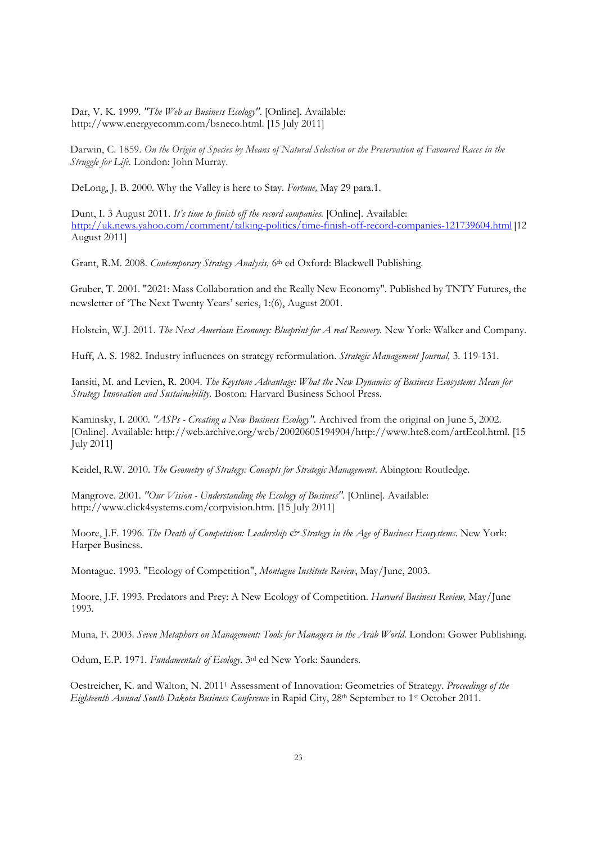Dar, V. K. 1999. *"The Web as Business Ecology"*. [Online]. Available: http://www.energyecomm.com/bsneco.html. [15 July 2011]

Darwin, C. 1859. *On the Origin of Species by Means of Natural Selection or the Preservation of Favoured Races in the Struggle for Life.* London: John Murray.

DeLong, J. B. 2000. Why the Valley is here to Stay. *Fortune,* May 29 para.1.

Dunt, I. 3 August 2011. *It's time to finish off the record companies*. [Online]. Available: http://uk.news.yahoo.com/comment/talking-politics/time-finish-off-record-companies-121739604.html [12 August 2011]

Grant, R.M. 2008. *Contemporary Strategy Analysis,* 6 th ed Oxford: Blackwell Publishing.

Gruber, T. 2001. "2021: Mass Collaboration and the Really New Economy". Published by TNTY Futures, the newsletter of 'The Next Twenty Years' series, 1:(6), August 2001.

Holstein, W.J. 2011. *The Next American Economy: Blueprint for A real Recovery.* New York: Walker and Company.

Huff, A. S. 1982. Industry influences on strategy reformulation. *Strategic Management Journal,* 3. 119-131.

Iansiti, M. and Levien, R. 2004. *The Keystone Advantage: What the New Dynamics of Business Ecosystems Mean for Strategy Innovation and Sustainability.* Boston: Harvard Business School Press.

Kaminsky, I. 2000. *"ASPs - Creating a New Business Ecology".* Archived from the original on June 5, 2002. [Online]. Available: http://web.archive.org/web/20020605194904/http://www.hte8.com/artEcol.html. [15 July 2011]

Keidel, R.W. 2010. *The Geometry of Strategy: Concepts for Strategic Management*. Abington: Routledge.

Mangrove. 2001. *"Our Vision - Understanding the Ecology of Business"*. [Online]. Available: http://www.click4systems.com/corpvision.htm. [15 July 2011]

Moore, J.F. 1996. *The Death of Competition: Leadership & Strategy in the Age of Business Ecosystems*. New York: Harper Business.

Montague. 1993. "Ecology of Competition", *Montague Institute Review*, May/June, 2003.

Moore, J.F. 1993. Predators and Prey: A New Ecology of Competition. *Harvard Business Review,* May/June 1993.

Muna, F. 2003. *Seven Metaphors on Management: Tools for Managers in the Arab World*. London: Gower Publishing.

Odum, E.P. 1971. *Fundamentals of Ecology*. 3rd ed New York: Saunders.

Oestreicher, K. and Walton, N. 2011<sup>1</sup> Assessment of Innovation: Geometries of Strategy. *Proceedings of the Eighteenth Annual South Dakota Business Conference* in Rapid City, 28th September to 1st October 2011.